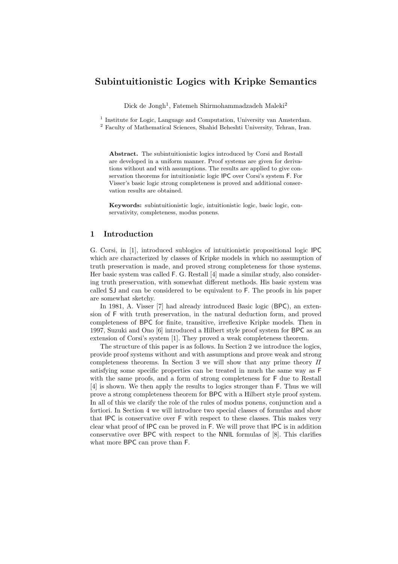# **Subintuitionistic Logics with Kripke Semantics**

Dick de Jongh<sup>1</sup>, Fatemeh Shirmohammadzadeh Maleki<sup>2</sup>

<sup>1</sup> Institute for Logic, Language and Computation, University van Amsterdam.

<sup>2</sup> Faculty of Mathematical Sciences, Shahid Beheshti University, Tehran, Iran.

**Abstract.** The subintuitionistic logics introduced by Corsi and Restall are developed in a uniform manner. Proof systems are given for derivations without and with assumptions. The results are applied to give conservation theorems for intuitionistic logic IPC over Corsi's system F. For Visser's basic logic strong completeness is proved and additional conservation results are obtained.

**Keywords:** subintuitionistic logic, intuitionistic logic, basic logic, conservativity, completeness, modus ponens.

## **1 Introduction**

G. Corsi, in [1], introduced sublogics of intuitionistic propositional logic IPC which are characterized by classes of Kripke models in which no assumption of truth preservation is made, and proved strong completeness for those systems. Her basic system was called F. G. Restall [4] made a similar study, also considering truth preservation, with somewhat different methods. His basic system was called SJ and can be considered to be equivalent to F. The proofs in his paper are somewhat sketchy.

In 1981, A. Visser [7] had already introduced Basic logic (BPC), an extension of F with truth preservation, in the natural deduction form, and proved completeness of BPC for finite, transitive, irreflexive Kripke models. Then in 1997, Suzuki and Ono [6] introduced a Hilbert style proof system for BPC as an extension of Corsi's system [1]. They proved a weak completeness theorem.

The structure of this paper is as follows. In Section 2 we introduce the logics, provide proof systems without and with assumptions and prove weak and strong completeness theorems. In Section 3 we will show that any prime theory *Π* satisfying some specific properties can be treated in much the same way as F with the same proofs, and a form of strong completeness for  $F$  due to Restall [4] is shown. We then apply the results to logics stronger than F. Thus we will prove a strong completeness theorem for BPC with a Hilbert style proof system. In all of this we clarify the role of the rules of modus ponens, conjunction and a fortiori. In Section 4 we will introduce two special classes of formulas and show that IPC is conservative over F with respect to these classes. This makes very clear what proof of IPC can be proved in F. We will prove that IPC is in addition conservative over BPC with respect to the NNIL formulas of [8]. This clarifies what more BPC can prove than F.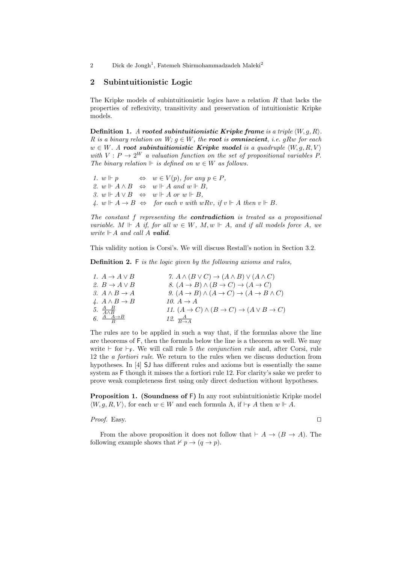# **2 Subintuitionistic Logic**

The Kripke models of subintuitionistic logics have a relation *R* that lacks the properties of reflexivity, transitivity and preservation of intuitionistic Kripke models.

**Definition 1.** *A* rooted subintuitionistic Kripke frame is a triple  $\langle W, q, R \rangle$ *. R* is a binary relation on  $W$ ;  $g \in W$ , the **root** is **omniscient**, i.e. gRw for each  $w \in W$ *. A root subintuitionistic Kripke model is a quadruple*  $\langle W, g, R, V \rangle$ *with*  $V: P \to 2^W$  *a valuation function on the set of propositional variables* P. *The binary relation*  $\Vdash$  *is defined on*  $w \in W$  *as follows.* 

*1.*  $w ⊢ p$   $\Leftrightarrow$   $w ∈ V(p)$ *, for any*  $p ∈ P$ *, 2. w*  $\Vdash$  *A ∧ B*  $\Leftrightarrow$  *w*  $\Vdash$  *A and w*  $\Vdash$  *B*, *3. w*  $\Vdash$  *A*  $\lor$  *B*  $\Leftrightarrow$  *w*  $\Vdash$  *A or w*  $\Vdash$  *B*, *A.*  $w \Vdash A \to B \Leftrightarrow$  *for each v with*  $wRv$ *, if*  $v \Vdash A$  *then*  $v \Vdash B$ *.* 

*The constant f representing the contradiction is treated as a propositional variable.*  $M \Vdash A$  *if, for all*  $w \in W$ *,*  $M, w \Vdash A$ *, and if all models force*  $A$ *, we write*  $\|\cdot A$  *and call*  $A$  *valid.* 

This validity notion is Corsi's. We will discuss Restall's notion in Section 3.2.

**Definition 2.** F *is the logic given by the following axioms and rules,*

| 1. $A \rightarrow A \vee B$            | 7. $A \wedge (B \vee C) \rightarrow (A \wedge B) \vee (A \wedge C)$                  |
|----------------------------------------|--------------------------------------------------------------------------------------|
| 2. $B \to A \vee B$                    | 8. $(A \rightarrow B) \land (B \rightarrow C) \rightarrow (A \rightarrow C)$         |
| 3. $A \wedge B \rightarrow A$          | 9. $(A \rightarrow B) \land (A \rightarrow C) \rightarrow (A \rightarrow B \land C)$ |
| 4. $A \wedge B \rightarrow B$          | 10. $A \rightarrow A$                                                                |
| 5. $\frac{A-B}{A\wedge B}$             | 11. $(A \rightarrow C) \land (B \rightarrow C) \rightarrow (A \lor B \rightarrow C)$ |
| 6. $\frac{A \quad A \rightarrow B}{B}$ | 12. $\frac{A}{B \rightarrow A}$                                                      |

The rules are to be applied in such a way that, if the formulas above the line are theorems of F, then the formula below the line is a theorem as well. We may write  $\vdash$  for  $\vdash$ <sub>F</sub>. We will call rule 5 *the conjunction rule* and, after Corsi, rule 12 the *a fortiori rule*. We return to the rules when we discuss deduction from hypotheses. In [4] SJ has different rules and axioms but is essentially the same system as F though it misses the a fortiori rule 12. For clarity's sake we prefer to prove weak completeness first using only direct deduction without hypotheses.

**Proposition 1. (Soundness of** F**)** In any root subintuitionistic Kripke model  $\langle W, q, R, V \rangle$ *, for each <i>w* ∈ *W* and each formula A, if  $\vdash$  **F** *A* then *w*  $\Vdash$  *A*.

*Proof.* Easy. □

From the above proposition it does not follow that  $\vdash A \rightarrow (B \rightarrow A)$ . The following example shows that  $\nvdash p \rightarrow (q \rightarrow p)$ .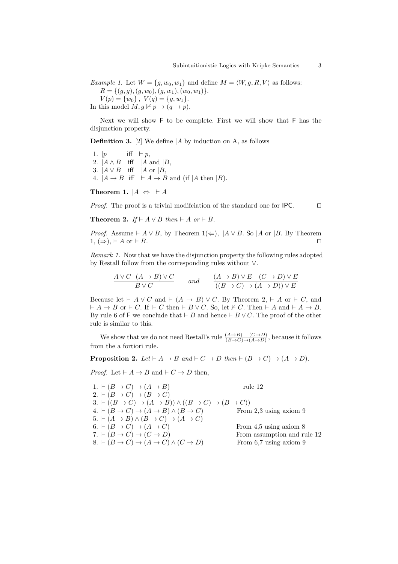*Example 1.* Let  $W = \{g, w_0, w_1\}$  and define  $M = \langle W, g, R, V \rangle$  as follows:  $R = \{(g, g), (g, w_0), (g, w_1), (w_0, w_1)\}.$ 

 $V(p) = \{w_0\}, V(q) = \{g, w_1\}.$ In this model  $M, g \nVdash p \rightarrow (q \rightarrow p)$ .

Next we will show F to be complete. First we will show that F has the disjunction property.

**Definition 3.** [2] We define *|A* by induction on A, as follows

1.  $|p \text{ iff } \vdash p$ , 2.  $|A \wedge B$  iff  $|A \text{ and } |B|$ , 3.  $|A \vee B$  iff  $|A \text{ or } B|$ , 4.  $|A \rightarrow B$  iff  $\vdash A \rightarrow B$  and (if  $|A \text{ then } |B|$ ).

**Theorem 1.**  $|A \Leftrightarrow \vdash A$ 

*Proof.* The proof is a trivial modificiation of the standard one for IPC. □

**Theorem 2.**  $If \vdash A \lor B$  then  $\vdash A$  or  $\vdash B$ .

*Proof.* Assume  $\vdash A \lor B$ , by Theorem  $1(\Leftarrow)$ ,  $\vert A \lor B$ . So  $\vert A$  or  $\vert B$ . By Theorem  $1, \Rightarrow, \vdash A \text{ or } \vdash B.$ 

*Remark 1.* Now that we have the disjunction property the following rules adopted by Restall follow from the corresponding rules without *∨*.

$$
\frac{A \lor C \quad (A \to B) \lor C}{B \lor C} \qquad and \qquad \frac{(A \to B) \lor E \quad (C \to D) \lor E}{((B \to C) \to (A \to D)) \lor E}
$$

Because let  $\vdash A \lor C$  and  $\vdash (A \rightarrow B) \lor C$ . By Theorem 2,  $\vdash A$  or  $\vdash C$ , and  $A \rightarrow B$  or  $\vdash C$ . If  $\vdash C$  then  $\vdash B \lor C$ . So, let  $\nvdash C$ . Then  $\vdash A$  and  $\vdash A \rightarrow B$ . By rule 6 of F we conclude that  $\vdash B$  and hence  $\vdash B \lor C$ . The proof of the other rule is similar to this.

We show that we do not need Restall's rule  $\frac{(A \rightarrow B) - (C \rightarrow D)}{(B \rightarrow C) \rightarrow (A \rightarrow D)}$ , because it follows from the a fortiori rule.

**Proposition 2.**  $Let \vdash A \rightarrow B$  and  $\dashv C \rightarrow D$  then  $\dashv (B \rightarrow C) \rightarrow (A \rightarrow D)$ .

*Proof.* Let  $\vdash A \rightarrow B$  and  $\vdash C \rightarrow D$  then,

1.  $\vdash (B \to C) \to (A \to B)$  rule 12  $2. \vdash (B \rightarrow C) \rightarrow (B \rightarrow C)$  $3. \vdash ((B \rightarrow C) \rightarrow (A \rightarrow B)) \land ((B \rightarrow C) \rightarrow (B \rightarrow C))$ 4.  $\vdash (B \to C) \to (A \to B) \land (B \to C)$  From 2,3 using axiom 9  $5. \vdash (A \rightarrow B) \land (B \rightarrow C) \rightarrow (A \rightarrow C)$ 6.  $\vdash (B \to C) \to (A \to C)$  From 4,5 using axiom 8 7.  $\vdash (B \to C) \to (C \to D)$ <br>
8.  $\vdash (B \to C) \to (A \to C) \land (C \to D)$  From 6,7 using axiom 9  $8. \vdash (B \to C) \to (A \to C) \land (C \to D)$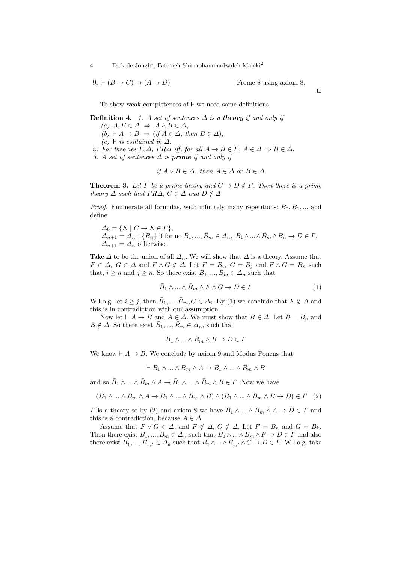9.  $\vdash (B \to C) \to (A \to D)$  Frome 8 using axiom 8.

*ut*

To show weak completeness of F we need some definitions.

**Definition 4.** *1. A set of sentences*  $\Delta$  *is a theory if and only if*  $(A)$  *A*, *B* ∈  $\Delta$   $\Rightarrow$  *A*  $\land$  *B* ∈  $\Delta$ ,  $(b) \vdash A \rightarrow B \Rightarrow (if \ A \in \Delta, \ then \ B \in \Delta),$  $(c)$  **F** *is contained in*  $∆$ *. 2. For theories*  $\Gamma, \Delta$ *,*  $\Gamma R\Delta$  *iff, for all*  $A \rightarrow B \in \Gamma$ *,*  $A \in \Delta \Rightarrow B \in \Delta$ *.* 

*3. A set of sentences ∆ is prime if and only if*

if 
$$
A \lor B \in \Delta
$$
, then  $A \in \Delta$  or  $B \in \Delta$ .

**Theorem 3.** Let  $\Gamma$  be a prime theory and  $C \to D \notin \Gamma$ . Then there is a prime *theory*  $\Delta$  *such that*  $\Gamma R\Delta$ *,*  $C \in \Delta$  *and*  $D \notin \Delta$ *.* 

*Proof.* Enumerate all formulas, with infinitely many repetitions:  $B_0, B_1, \ldots$  and define

$$
\Delta_0 = \{ E \mid C \to E \in \Gamma \}, \n\Delta_{n+1} = \Delta_n \cup \{ B_n \} \text{ if for no } \bar{B}_1, ..., \bar{B}_m \in \Delta_n, \ \bar{B}_1 \wedge ... \wedge \bar{B}_m \wedge B_n \to D \in \Gamma, \n\Delta_{n+1} = \Delta_n \text{ otherwise.}
$$

Take  $\Delta$  to be the union of all  $\Delta_n$ . We will show that  $\Delta$  is a theory. Assume that  $F \in \Delta$ ,  $G \in \Delta$  and  $F \wedge G \notin \Delta$ . Let  $F = B_i$ ,  $G = B_j$  and  $F \wedge G = B_n$  such that,  $i \geq n$  and  $j \geq n$ . So there exist  $\overline{B}_1, ..., \overline{B}_m \in \Delta_n$  such that

$$
\bar{B}_1 \wedge \dots \wedge \bar{B}_m \wedge F \wedge G \to D \in \Gamma \tag{1}
$$

W.l.o.g. let  $i \geq j$ , then  $\bar{B}_1, ..., \bar{B}_m, G \in \Delta_i$ . By (1) we conclude that  $F \notin \Delta$  and this is in contradiction with our assumption.

Now let  $\vdash A \rightarrow B$  and  $A \in \Delta$ . We must show that  $B \in \Delta$ . Let  $B = B_n$  and  $B \notin \Delta$ . So there exist  $\bar{B}_1, ..., \bar{B}_m \in \Delta_n$ , such that

$$
\bar{B}_1 \wedge \ldots \wedge \bar{B}_m \wedge B \to D \in \varGamma
$$

We know  $\vdash A \rightarrow B$ . We conclude by axiom 9 and Modus Ponens that

$$
\vdash \bar B_1 \land \ldots \land \bar B_m \land A \to \bar B_1 \land \ldots \land \bar B_m \land B
$$

and so  $\bar{B}_1 \wedge \ldots \wedge \bar{B}_m \wedge A \to \bar{B}_1 \wedge \ldots \wedge \bar{B}_m \wedge B \in \Gamma$ . Now we have

$$
(\bar{B}_1 \wedge \ldots \wedge \bar{B}_m \wedge A \to \bar{B}_1 \wedge \ldots \wedge \bar{B}_m \wedge B) \wedge (\bar{B}_1 \wedge \ldots \wedge \bar{B}_m \wedge B \to D) \in \Gamma \quad (2)
$$

*Γ* is a theory so by (2) and axiom 8 we have  $\overline{B}_1 \wedge \ldots \wedge \overline{B}_m \wedge A \rightarrow D \in \Gamma$  and this is a contradiction, because  $A \in \Delta$ .

Assume that  $F \vee G \in \Delta$ , and  $F \notin \Delta$ ,  $G \notin \Delta$ . Let  $F = B_n$  and  $G = B_k$ . Then there exist  $\bar{B}_1, ..., \bar{B}_m \in \Delta_n$  such that  $\bar{B}_1 \wedge ... \wedge \bar{B}_m \wedge F \to D \in \Gamma$  and also there exist  $B'_1, ..., B'_{m'} \in \Delta_k$  such that  $B'_1 \wedge ... \wedge B'_{m'} \wedge G \to D \in \Gamma$ . W.l.o.g. take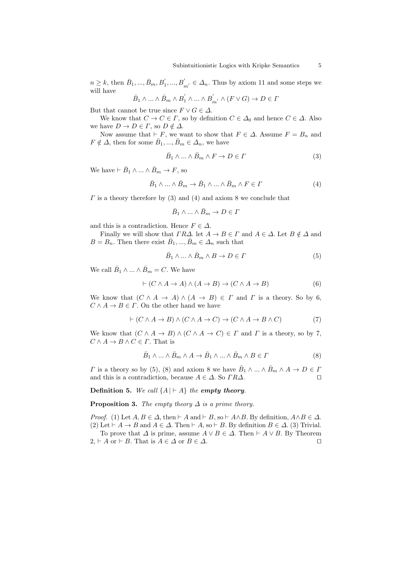$n \geq k$ , then  $\bar{B}_1, ..., \bar{B}_m, B'_1, ..., B'_{m'} \in \Delta_n$ . Thus by axiom 11 and some steps we will have

$$
\bar{B}_1 \wedge \ldots \wedge \bar{B}_m \wedge B_1' \wedge \ldots \wedge B_{m'}' \wedge (F \vee G) \rightarrow D \in \Gamma
$$

But that cannot be true since  $F \vee G \in \Delta$ .

We know that  $C \to C \in \Gamma$ , so by definition  $C \in \Delta_0$  and hence  $C \in \Delta$ . Also we have  $D \to D \in \Gamma$ , so  $D \notin \Delta$ .

Now assume that  $\vdash$  *F*, we want to show that  $F \in \Delta$ . Assume  $F = B_n$  and  $F \notin \Delta$ , then for some  $\overline{B}_1, ..., \overline{B}_m \in \Delta_n$ , we have

$$
\bar{B}_1 \wedge \dots \wedge \bar{B}_m \wedge F \to D \in \Gamma \tag{3}
$$

We have  $\vdash \bar{B}_1 \land ... \land \bar{B}_m \to F$ , so

$$
\bar{B}_1 \wedge \ldots \wedge \bar{B}_m \to \bar{B}_1 \wedge \ldots \wedge \bar{B}_m \wedge F \in \Gamma \tag{4}
$$

*Γ* is a theory therefore by (3) and (4) and axiom 8 we conclude that

$$
\bar{B}_1\wedge\ldots\wedge\bar{B}_m\to D\in\varGamma
$$

and this is a contradiction. Hence  $F \in \Delta$ .

Finally we will show that  $\Gamma R\Delta$ . let  $A \to B \in \Gamma$  and  $A \in \Delta$ . Let  $B \notin \Delta$  and  $B = B_n$ . Then there exist  $\bar{B}_1, ..., \bar{B}_m \in \Delta_n$  such that

$$
\bar{B}_1 \wedge \dots \wedge \bar{B}_m \wedge B \to D \in \Gamma \tag{5}
$$

We call  $\bar{B}_1 \wedge \ldots \wedge \bar{B}_m = C$ . We have

$$
\vdash (C \land A \to A) \land (A \to B) \to (C \land A \to B) \tag{6}
$$

We know that  $(C \land A \rightarrow A) \land (A \rightarrow B) \in \Gamma$  and  $\Gamma$  is a theory. So by 6,  $C \wedge A \rightarrow B \in \Gamma$ . On the other hand we have

$$
\vdash (C \land A \to B) \land (C \land A \to C) \to (C \land A \to B \land C) \tag{7}
$$

We know that  $(C \land A \rightarrow B) \land (C \land A \rightarrow C) \in \Gamma$  and  $\Gamma$  is a theory, so by 7,  $C \wedge A \rightarrow B \wedge C \in \Gamma$ . That is

$$
\bar{B}_1 \wedge \ldots \wedge \bar{B}_m \wedge A \to \bar{B}_1 \wedge \ldots \wedge \bar{B}_m \wedge B \in \Gamma
$$
\n(8)

*Γ* is a theory so by (5), (8) and axiom 8 we have  $\overline{B}_1 \wedge \ldots \wedge \overline{B}_m \wedge A \rightarrow D \in \Gamma$ and this is a contradiction, because  $A \in \Delta$ . So  $TR\Delta$ .

**Definition 5.** We call  ${A \mid A}$  the *empty theory*.

**Proposition 3.** *The empty theory*  $\Delta$  *is a prime theory.* 

*Proof.* (1) Let  $A, B \in \Delta$ , then  $\vdash A$  and  $\vdash B$ , so  $\vdash A \wedge B$ . By definition,  $A \wedge B \in \Delta$ . (2) Let  $\vdash A \rightarrow B$  and  $A \in \Delta$ . Then  $\vdash A$ , so  $\vdash B$ . By definition  $B \in \Delta$ . (3) Trivial. To prove that  $\Delta$  is prime, assume  $A \lor B \in \Delta$ . Then  $\vdash A \lor B$ . By Theorem

 $2, \vdash A$  or  $\vdash B$ . That is  $A \in \Delta$  or  $B \in \Delta$ .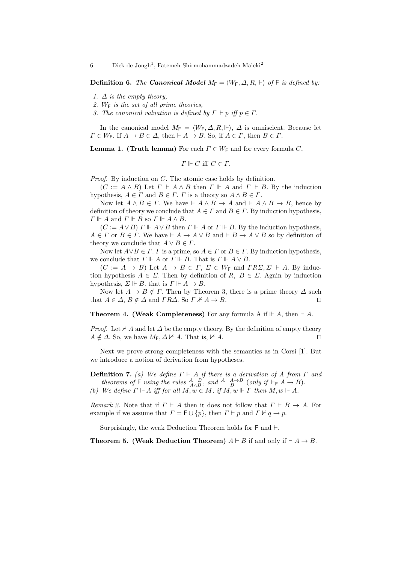**Definition 6.** *The Canonical Model*  $M_F = \langle W_F, \Delta, R, \Vdash \rangle$  of F *is defined by:* 

- *1.*  $\Delta$  *is the empty theory,*
- *2. W*<sup>F</sup> *is the set of all prime theories,*
- *3. The canonical valuation is defined by*  $\Gamma \Vdash p$  *iff*  $p \in \Gamma$ .

In the canonical model  $M_F = \langle W_F, \Delta, R, \Vdash \rangle$ ,  $\Delta$  is omniscient. Because let  $\Gamma \in W_F$ . If  $A \to B \in \Delta$ , then  $\vdash A \to B$ . So, if  $A \in \Gamma$ , then  $B \in \Gamma$ .

**Lemma 1. (Truth lemma)** For each  $\Gamma \in W_F$  and for every formula *C*,

 $\Gamma \Vdash C$  iff  $C \in \Gamma$ .

*Proof.* By induction on *C*. The atomic case holds by definition.

 $(C := A \land B)$  Let  $\Gamma \Vdash A \land B$  then  $\Gamma \Vdash A$  and  $\Gamma \Vdash B$ . By the induction hypothesis,  $A \in \Gamma$  and  $B \in \Gamma$ .  $\Gamma$  is a theory so  $A \wedge B \in \Gamma$ .

Now let  $A \wedge B \in \Gamma$ . We have  $\vdash A \wedge B \to A$  and  $\vdash A \wedge B \to B$ , hence by definition of theory we conclude that  $A \in \Gamma$  and  $B \in \Gamma$ . By induction hypothesis,  $\Gamma \Vdash A$  and  $\Gamma \Vdash B$  so  $\Gamma \Vdash A \wedge B$ .

 $(C := A \vee B)$   $\Gamma \Vdash A \vee B$  then  $\Gamma \Vdash A$  or  $\Gamma \Vdash B$ . By the induction hypothesis,  $A \in \Gamma$  or  $B \in \Gamma$ . We have  $\vdash A \to A \lor B$  and  $\vdash B \to A \lor B$  so by definition of theory we conclude that  $A \lor B \in \Gamma$ .

Now let  $A \lor B \in \Gamma$ . *Γ* is a prime, so  $A \in \Gamma$  or  $B \in \Gamma$ . By induction hypothesis, we conclude that  $\Gamma \Vdash A$  or  $\Gamma \Vdash B$ . That is  $\Gamma \Vdash A \vee B$ .

 $(C := A \rightarrow B)$  Let  $A \rightarrow B \in \Gamma$ ,  $\Sigma \in W_F$  and  $TR\Sigma$ ,  $\Sigma \Vdash A$ . By induction hypothesis  $A \in \Sigma$ . Then by definition of  $R, B \in \Sigma$ . Again by induction hypothesis,  $\Sigma \Vdash B$ . that is  $\Gamma \Vdash A \to B$ .

Now let  $A \rightarrow B \notin \Gamma$ . Then by Theorem 3, there is a prime theory  $\Delta$  such that  $A \in \Delta$ ,  $B \notin \Delta$  and  $TR\Delta$ . So  $\Gamma \nVdash A \to B$ .

**Theorem 4. (Weak Completeness)** For any formula A if  $\vdash A$ , then  $\vdash A$ .

*Proof.* Let  $\forall$  *A* and let  $\Delta$  be the empty theory. By the definition of empty theory  $A \notin \Delta$ . So, we have  $M_F$ ,  $\Delta \not\vdash A$ . That is,  $\nvdash A$ .

Next we prove strong completeness with the semantics as in Corsi [1]. But we introduce a notion of derivation from hypotheses.

**Definition 7.** *(a) We define Γ ` A if there is a derivation of A from Γ and theorems of* **F** *using the rules*  $\frac{A}{A \wedge B}$ *, and*  $\frac{A}{B} \xrightarrow{A \rightarrow B}$  (*only if*  $\vdash_F A \rightarrow B$ )*. (b) We define*  $\Gamma \Vdash A$  *iff for all*  $M, w \in M$ *, if*  $M, w \Vdash \Gamma$  *then*  $M, w \Vdash A$ *.* 

*Remark 2.* Note that if  $\Gamma \vdash A$  then it does not follow that  $\Gamma \vdash B \to A$ . For example if we assume that  $\Gamma = \mathsf{F} \cup \{p\}$ , then  $\Gamma \vdash p$  and  $\Gamma \nvdash q \to p$ .

Surprisingly, the weak Deduction Theorem holds for  $\mathsf F$  and  $\mathsf \vdash$ .

**Theorem 5. (Weak Deduction Theorem)**  $A \vdash B$  if and only if  $\vdash A \rightarrow B$ .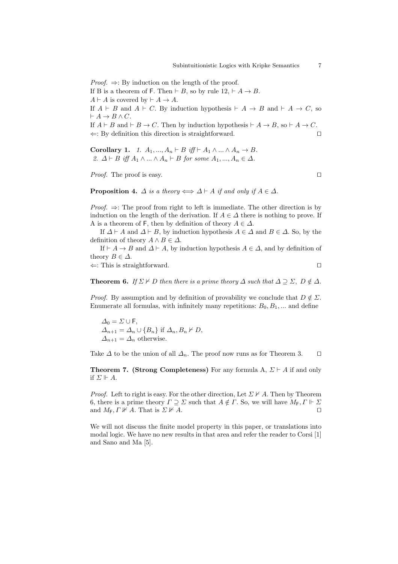*Proof.* ⇒: By induction on the length of the proof.

If B is a theorem of F. Then  $\vdash B$ , so by rule  $12, \vdash A \rightarrow B$ .

 $A \vdash A$  is covered by  $\vdash A \rightarrow A$ .

If  $A \vdash B$  and  $A \vdash C$ . By induction hypothesis  $\vdash A \rightarrow B$  and  $\vdash A \rightarrow C$ , so  $\vdash A \rightarrow B \land C$ .

If  $A \vdash B$  and  $\vdash B \to C$ . Then by induction hypothesis  $\vdash A \to B$ , so  $\vdash A \to C$ . *⇐*: By definition this direction is straightforward. *ut*

**Corollary 1.** *1.*  $A_1, ..., A_n \vdash B$  *iff*  $\vdash A_1 \land ... \land A_n \to B$ *. 2.*  $\Delta \vdash B$  *iff*  $A_1 \wedge ... \wedge A_n \vdash B$  *for some*  $A_1, ..., A_n \in \Delta$ *.* 

*Proof.* The proof is easy. □

**Proposition 4.**  $\Delta$  *is a theory*  $\Longleftrightarrow \Delta \vdash A$  *if and only if*  $A \in \Delta$ *.* 

*Proof.* ⇒: The proof from right to left is immediate. The other direction is by induction on the length of the derivation. If  $A \in \Delta$  there is nothing to prove. If A is a theorem of F, then by definition of theory  $A \in \Delta$ .

If  $\Delta \vdash A$  and  $\Delta \vdash B$ , by induction hypothesis  $A \in \Delta$  and  $B \in \Delta$ . So, by the definition of theory  $A \wedge B \in \Delta$ .

If  $\vdash A \rightarrow B$  and  $\Delta \vdash A$ , by induction hypothesis  $A \in \Delta$ , and by definition of theory  $B \in \Delta$ .

*⇐*: This is straightforward. *ut*

**Theorem 6.** *If*  $\Sigma \nvDash D$  *then there is a prime theory*  $\Delta$  *such that*  $\Delta \supseteq \Sigma$ ,  $D \notin \Delta$ *.* 

*Proof.* By assumption and by definition of provability we conclude that  $D \notin \Sigma$ . Enumerate all formulas, with infinitely many repetitions:  $B_0, B_1, \ldots$  and define

 $\Delta_0 = \Sigma \cup F$ ,  $\Delta_{n+1} = \Delta_n \cup \{B_n\}$  if  $\Delta_n, B_n \nvdash D$ ,  $\Delta_{n+1} = \Delta_n$  otherwise.

Take  $\Delta$  to be the union of all  $\Delta_n$ . The proof now runs as for Theorem 3.  $\Box$ 

**Theorem 7. (Strong Completeness)** For any formula A,  $\Sigma \vdash A$  if and only if  $\Sigma \Vdash A$ .

*Proof.* Left to right is easy. For the other direction, Let  $\Sigma \nvdash A$ . Then by Theorem 6, there is a prime theory  $\Gamma \supseteq \Sigma$  such that  $A \notin \Gamma$ . So, we will have  $M_{\mathsf{F}}$ ,  $\Gamma \Vdash \Sigma$ and  $M_F$ ,  $\Gamma \not\vdash A$ . That is  $\Sigma \not\vdash A$ .

We will not discuss the finite model property in this paper, or translations into modal logic. We have no new results in that area and refer the reader to Corsi [1] and Sano and Ma [5].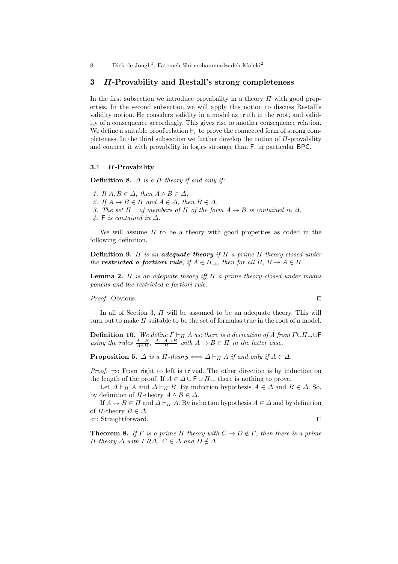# **3** *Π***-Provability and Restall's strong completeness**

In the first subsection we introduce provabality in a theory *Π* with good properties. In the second subsection we will apply this notion to discuss Restall's validity notion. He considers validity in a model as truth in the root, and validity of a consequence accordingly. This gives rise to another consequence relation. We define a suitable proof relation  $\vdash_r$  to prove the connected form of strong completeness. In the third subsection we further develop the notion of *Π*-provability and connect it with provability in logics stronger than F, in particular BPC.

### **3.1** *Π***-Provability**

**Definition 8.** *∆ is a Π-theory if and only if:*

- *1. If*  $A, B \in \Delta$ *, then*  $A \wedge B \in \Delta$ *,*
- *2. If*  $A \rightarrow B \in \Pi$  *and*  $A \in \Delta$ *, then*  $B \in \Delta$ *,*
- *3. The set*  $\Pi$ <sub>→</sub> *of members of*  $\Pi$  *of the form*  $A \rightarrow B$  *is contained in*  $\Delta$ *,*
- *4.* F *is contained in ∆.*

We will assume *Π* to be a theory with good properties as coded in the following definition.

**Definition 9.** *Π is an adequate theory if Π a prime Π-theory closed under the restricted a fortiori rule, if*  $A \in \Pi_{\rightarrow}$ *, then for all*  $B, B \rightarrow A \in \Pi$ *.* 

**Lemma 2.** *Π is an adequate theory iff Π a prime theory closed under modus ponens and the restricted a fortiori rule.*

*Proof.* Obvious. □

In all of Section 3, *Π* will be assumed to be an adequate theory. This will turn out to make *Π* suitable to be the set of formulas true in the root of a model.

**Definition 10.** We define  $\Gamma \vdash_{\Pi} A$  as: there is a derivation of A from  $\Gamma \cup \Pi_{\rightarrow} \cup \Gamma$ *using the rules*  $\frac{A}{A \wedge B}$ ,  $\frac{A}{B} \xrightarrow{A \rightarrow B}$  *with*  $A \rightarrow B \in \Pi$  *in the latter case.* 

**Proposition 5.**  $\Delta$  *is a*  $\Pi$ *-theory*  $\Longleftrightarrow \Delta \vdash_{\Pi} A$  *if and only if*  $A \in \Delta$ *.* 

*Proof.* ⇒: From right to left is trivial. The other direction is by induction on the length of the proof. If  $A \in \Delta \cup \mathsf{F} \cup \Pi$ , there is nothing to prove.

Let  $\Delta \vdash_{\Pi} A$  and  $\Delta \vdash_{\Pi} B$ . By induction hypothesis  $A \in \Delta$  and  $B \in \Delta$ . So, by definition of  $\Pi$ -theory  $A \wedge B \in \Delta$ .

If  $A \to B \in \Pi$  and  $\Delta \vdash_{\Pi} A$ . By induction hypothesis  $A \in \Delta$  and by definition of *Π*-theory  $B \in \Delta$ .

*⇐*: Straightforward. *ut*

**Theorem 8.** *If*  $\Gamma$  *is a prime*  $\Pi$ *-theory with*  $C \to D \notin \Gamma$ *, then there is a prime Π-theory*  $\Delta$  *with*  $\Gamma R\Delta$ ,  $C \in \Delta$  *and*  $D \notin \Delta$ *.*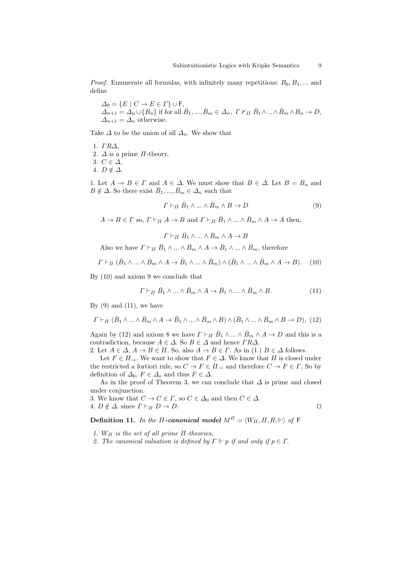*Proof.* Enumerate all formulas, with infinitely many repetitions:  $B_0, B_1, \ldots$  and define

$$
\Delta_0 = \{ E \mid C \to E \in \Gamma \} \cup \mathsf{F}, \n\Delta_{n+1} = \Delta_n \cup \{ B_n \} \text{ if for all } \bar{B}_1, ..., \bar{B}_m \in \Delta_n, \Gamma \nvdash_H \bar{B}_1 \wedge ... \wedge \bar{B}_m \wedge B_n \to D, \n\Delta_{n+1} = \Delta_n \text{ otherwise.}
$$

Take  $\Delta$  to be the union of all  $\Delta_n$ . We show that

1. *Γ R∆*,

2.  $\Delta$  is a prime  $\Pi$ -theory,

3.  $C \in ∆$ ,

4.  $D \notin \Delta$ .

1. Let  $A \to B \in \Gamma$  and  $A \in \Delta$ . We must show that  $B \in \Delta$ . Let  $B = B_n$  and  $B \notin \Delta$ . So there exist  $\bar{B}_1, ..., \bar{B}_m \in \Delta_n$  such that

 $\Gamma \vdash_{\Pi} \bar{B}_1 \wedge \ldots \wedge \bar{B}_m \wedge B \to D$  (9)

 $A \to B \in \Gamma$  so,  $\Gamma \vdash_{\Pi} A \to B$  and  $\Gamma \vdash_{\Pi} \bar{B}_1 \wedge ... \wedge \bar{B}_m \wedge A \to A$  then,

 $\Gamma \vdash_{\Pi} \bar{B}_1 \wedge ... \wedge \bar{B}_m \wedge A \to B$ 

Also we have  $\Gamma \vdash_{\Pi} \bar{B}_1 \wedge \ldots \wedge \bar{B}_m \wedge A \to \bar{B}_1 \wedge \ldots \wedge \bar{B}_m$ , therefore

$$
\Gamma \vdash_{\Pi} (\bar{B}_1 \wedge \ldots \wedge \bar{B}_m \wedge A \to \bar{B}_1 \wedge \ldots \wedge \bar{B}_m) \wedge (\bar{B}_1 \wedge \ldots \wedge \bar{B}_m \wedge A \to B). \tag{10}
$$

By (10) and axiom 9 we conclude that

$$
\Gamma \vdash_{\Pi} \bar{B}_1 \wedge \ldots \wedge \bar{B}_m \wedge A \to \bar{B}_1 \wedge \ldots \wedge \bar{B}_m \wedge B. \tag{11}
$$

By  $(9)$  and  $(11)$ , we have

$$
\Gamma \vdash_{\Pi} (\bar{B}_1 \wedge \ldots \wedge \bar{B}_m \wedge A \to \bar{B}_1 \wedge \ldots \wedge \bar{B}_m \wedge B) \wedge (\bar{B}_1 \wedge \ldots \wedge \bar{B}_m \wedge B \to D). (12)
$$

Again by (12) and axiom 8 we have  $\Gamma \vdash_H \bar{B}_1 \wedge ... \wedge \bar{B}_m \wedge A \to D$  and this is a contradiction, because  $A \in \Delta$ . So  $B \in \Delta$  and hence  $\Gamma R\Delta$ .

2. Let  $A \in \Delta$ ,  $A \to B \in \Pi$ . So, also  $A \to B \in \Gamma$ . As in (1.)  $B \in \Delta$  follows.

Let  $F \in \Pi \rightarrow$ . We want to show that  $F \in \Delta$ . We know that  $\Pi$  is closed under the restricted a fortiori rule, so  $C \to F \in \Pi_{\to}$  and therefore  $C \to F \in \Gamma$ . So by definition of  $\Delta_0$ ,  $F \in \Delta_0$  and thus  $F \in \Delta$ .

As in the proof of Theorem 3, we can conclude that *∆* is prime and closed under conjunction.

3. We know that  $C \to C \in \Gamma$ , so  $C \in \Delta_0$  and then  $C \in \Delta$ . 4.  $D \notin \Delta$ , since  $\Gamma \vdash_H D \to D$ .

**Definition 11.** *In the Π-canonical model*  $M^{\Pi} = \langle W_{\Pi}, \Pi, R, \Vdash \rangle$  *of* **F** 

- *1. W<sup>Π</sup> is the set of all prime Π-theories,*
- *2. The canonical valuation is defined by*  $\Gamma \Vdash p$  *if and only if*  $p \in \Gamma$ .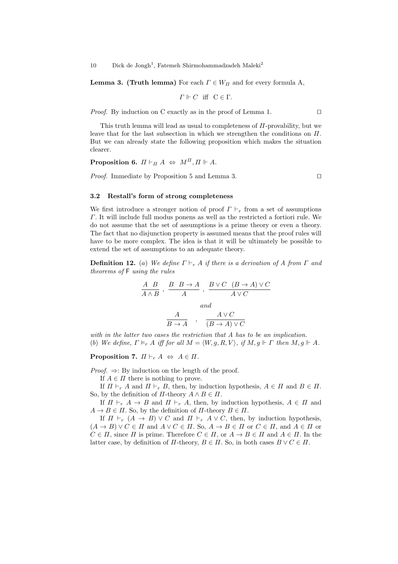**Lemma 3. (Truth lemma)** For each  $\Gamma \in W_{\Pi}$  and for every formula A,

$$
\Gamma \Vdash C \text{ iff } C \in \Gamma.
$$

*Proof.* By induction on C exactly as in the proof of Lemma 1. □

This truth lemma will lead as usual to completeness of *Π*-provability, but we leave that for the last subsection in which we strengthen the conditions on *Π*. But we can already state the following proposition which makes the situation clearer.

**Proposition 6.**  $\Pi \vdash_{\Pi} A \Leftrightarrow M^{\Pi}, \Pi \Vdash A$ .

*Proof.* Immediate by Proposition 5 and Lemma 3. □

### **3.2 Restall's form of strong completeness**

We first introduce a stronger notion of proof  $\Gamma \vdash_r$  from a set of assumptions *Γ*. It will include full modus ponens as well as the restricted a fortiori rule. We do not assume that the set of assumptions is a prime theory or even a theory. The fact that no disjunction property is assumed means that the proof rules will have to be more complex. The idea is that it will be ultimately be possible to extend the set of assumptions to an adequate theory.

**Definition 12.** (*a*) *We define*  $\Gamma \vdash_r A$  *if there is a derivation of* A from  $\Gamma$  *and theorems of* F *using the rules*

$$
\frac{A}{A \land B} , \frac{B}{A} , \frac{B \lor C}{A} , \frac{B \lor C}{A \lor C}
$$
  
and  

$$
\frac{A}{B \to A} , \frac{A \lor C}{(B \to A) \lor C}
$$

*with in the latter two cases the restriction that A has to be an implication.* (b) We define,  $\Gamma \models_r A$  iff for all  $M = \langle W, g, R, V \rangle$ , if  $M, g \Vdash \Gamma$  then  $M, g \Vdash A$ .

**Proposition 7.**  $\Pi \vdash_r A \Leftrightarrow A \in \Pi$ .

*Proof.*  $\Rightarrow$ : By induction on the length of the proof.

If  $A \in \Pi$  there is nothing to prove.

If  $\Pi \vdash_r A$  and  $\Pi \vdash_r B$ , then, by induction hypothesis,  $A \in \Pi$  and  $B \in \Pi$ . So, by the definition of  $\Pi$ -theory  $A \wedge B \in \Pi$ .

If  $\Pi \vdash_r A \to B$  and  $\Pi \vdash_r A$ , then, by induction hypothesis,  $A \in \Pi$  and  $A \rightarrow B \in \Pi$ . So, by the definition of  $\Pi$ -theory  $B \in \Pi$ .

If  $\Pi \vdash_r (A \rightarrow B) \vee C$  and  $\Pi \vdash_r A \vee C$ , then, by induction hypothesis,  $(A \rightarrow B) \vee C \in \Pi$  and  $A \vee C \in \Pi$ . So,  $A \rightarrow B \in \Pi$  or  $C \in \Pi$ , and  $A \in \Pi$  or  $C \in \Pi$ , since  $\Pi$  is prime. Therefore  $C \in \Pi$ , or  $A \to B \in \Pi$  and  $A \in \Pi$ . In the latter case, by definition of  $\Pi$ -theory,  $B \in \Pi$ . So, in both cases  $B \vee C \in \Pi$ .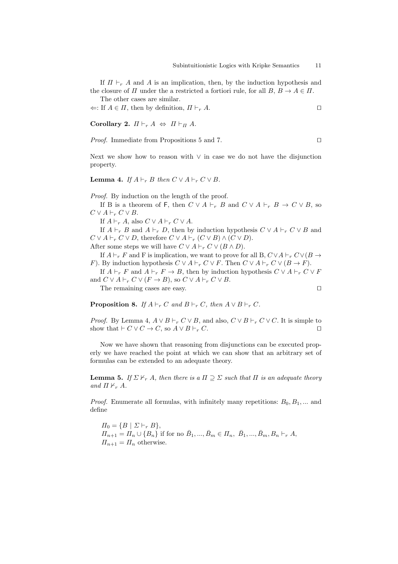If  $\Pi \vdash_r A$  and A is an implication, then, by the induction hypothesis and the closure of *Π* under the a restricted a fortiori rule, for all  $B, B \to A \in \Pi$ . The other cases are similar.

 $\Leftarrow$ : If  $A \in \Pi$ , then by definition,  $\Pi \vdash_r A$ .

**Corollary 2.**  $\Pi \vdash_r A \Leftrightarrow \Pi \vdash_H A$ .

*Proof.* Immediate from Propositions 5 and 7. □

Next we show how to reason with *∨* in case we do not have the disjunction property.

**Lemma 4.** *If*  $A \vdash_r B$  *then*  $C \vee A \vdash_r C \vee B$ *.* 

*Proof.* By induction on the length of the proof.

If B is a theorem of F, then  $C \vee A \vdash_r B$  and  $C \vee A \vdash_r B \to C \vee B$ , so  $C \vee A \vdash_r C \vee B$ .

If  $A \vdash_r A$ , also  $C \vee A \vdash_r C \vee A$ .

If  $A \vdash_r B$  and  $A \vdash_r D$ , then by induction hypothesis  $C \vee A \vdash_r C \vee B$  and  $C \vee A \vdash_r C \vee D$ , therefore  $C \vee A \vdash_r (C \vee B) \wedge (C \vee D)$ .

After some steps we will have  $C \vee A \vdash_r C \vee (B \wedge D)$ .

If  $A \vdash_r F$  and F is implication, we want to prove for all B,  $C \vee A \vdash_r C \vee (B \rightarrow$ *F*). By induction hypothesis  $C \vee A \vdash_r C \vee F$ . Then  $C \vee A \vdash_r C \vee (B \to F)$ .

If  $A \vdash_r F$  and  $A \vdash_r F \to B$ , then by induction hypothesis  $C \vee A \vdash_r C \vee F$ and  $C \vee A \vdash_r C \vee (F \to B)$ , so  $C \vee A \vdash_r C \vee B$ .

The remaining cases are easy.  $\square$ 

**Proposition 8.** *If*  $A \vdash_r C$  *and*  $B \vdash_r C$ *, then*  $A \lor B \vdash_r C$ *.* 

*Proof.* By Lemma 4,  $A \lor B \vdash_r C \lor B$ , and also,  $C \lor B \vdash_r C \lor C$ . It is simple to show that  $\vdash$   $C \lor C \to C$ , so  $A \lor B \vdash_r C$ .

Now we have shown that reasoning from disjunctions can be executed properly we have reached the point at which we can show that an arbitrary set of formulas can be extended to an adequate theory.

**Lemma 5.** *If*  $\Sigma \nvDash_r A$ *, then there is a*  $\Pi \supseteq \Sigma$  *such that*  $\Pi$  *is an adequate theory and*  $\Pi \nvdash_r A$ .

*Proof.* Enumerate all formulas, with infinitely many repetitions:  $B_0, B_1, \ldots$  and define

 $\Pi_0 = \{B \mid \Sigma \vdash_r B\},\$  $\Pi_{n+1} = \Pi_n \cup \{B_n\}$  if for no  $\bar{B}_1, ..., \bar{B}_m \in \Pi_n, \ \bar{B}_1, ..., \bar{B}_m, B_n \vdash_r A$ ,  $\Pi_{n+1} = \Pi_n$  otherwise.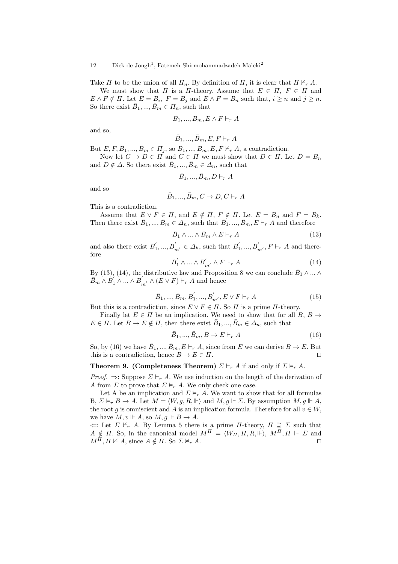Take *Π* to be the union of all  $\Pi_n$ . By definition of *Π*, it is clear that  $\Pi \nvdash_r A$ . We must show that *Π* is a *Π*-theory. Assume that  $E \in \Pi$ ,  $F \in \Pi$  and  $E \wedge F \notin \Pi$ . Let  $E = B_i$ ,  $F = B_j$  and  $E \wedge F = B_n$  such that,  $i \geq n$  and  $j \geq n$ . So there exist  $\bar{B}_1, ..., \bar{B}_m \in \Pi_n$ , such that

$$
\bar{B}_1, ..., \bar{B}_m, E \wedge F \vdash_r A
$$

and so,

$$
\bar{B}_1,...,\bar{B}_m,E,F\vdash_r A
$$

But  $E, F, \overline{B}_1, ..., \overline{B}_m \in \Pi_j$ , so  $\overline{B}_1, ..., \overline{B}_m, E, F \nvdash_r A$ , a contradiction. Now let  $C \to D \in \Pi$  and  $C \in \Pi$  we must show that  $D \in \Pi$ . Let  $D = B_n$ and  $D \notin \Delta$ . So there exist  $\bar{B}_1, ..., \bar{B}_m \in \Delta_n$ , such that

$$
\bar{B}_1,...,\bar{B}_m,D\vdash_r A
$$

and so

$$
\bar{B}_1,...,\bar{B}_m, C \to D, C \vdash_r A
$$

This is a contradiction.

Assume that  $E \lor F \in \Pi$ , and  $E \notin \Pi$ ,  $F \notin \Pi$ . Let  $E = B_n$  and  $F = B_k$ . Then there exist  $\bar{B}_1, ..., \bar{B}_m \in \Delta_n$ , such that  $\bar{B}_1, ..., \bar{B}_m, E \vdash_r A$  and therefore

$$
\bar{B}_1 \wedge \ldots \wedge \bar{B}_m \wedge E \vdash_r A \tag{13}
$$

and also there exist  $B'_1, ..., B'_{m'} \in \Delta_k$ , such that  $B'_1, ..., B'_{m'}$ ,  $F \vdash_r A$  and therefore

$$
B_1' \wedge \dots \wedge B_{m'}' \wedge F \vdash_r A \tag{14}
$$

By (13), (14), the distributive law and Proposition 8 we can conclude  $\overline{B}_1 \wedge ... \wedge$  $\overline{B}_m \wedge \overline{B}_1' \wedge ... \wedge \overline{B}_{m'}' \wedge (\overline{E} \vee F) \vdash_r A$  and hence

$$
\bar{B}_1, ..., \bar{B}_m, B'_1, ..., B'_{m'}, E \vee F \vdash_r A
$$
\n(15)

But this is a contradiction, since  $E \vee F \in \Pi$ . So  $\Pi$  is a prime  $\Pi$ -theory.

Finally let  $E \in \Pi$  be an implication. We need to show that for all  $B, B \rightarrow$  $E \in \Pi$ . Let  $B \to E \notin \Pi$ , then there exist  $\overline{B}_1, ..., \overline{B}_m \in \Delta_n$ , such that

$$
\bar{B}_1, \dots, \bar{B}_m, B \to E \vdash_r A \tag{16}
$$

So, by (16) we have  $\overline{B}_1, ..., \overline{B}_m, E \vdash_r A$ , since from *E* we can derive  $B \to E$ . But this is a contradiction, hence  $B \to E \in \Pi$ .

# **Theorem 9. (Completeness Theorem)**  $\Sigma \vdash_r A$  if and only if  $\Sigma \models_r A$ .

*Proof.*  $\Rightarrow$ : Suppose  $\Sigma \vdash_r A$ . We use induction on the length of the derivation of *A* from *Σ* to prove that  $\Sigma \models_r A$ . We only check one case.

Let A be an implication and  $\Sigma \models_r A$ . We want to show that for all formulas B,  $\Sigma \models_r B \to A$ . Let  $M = \langle W, g, R, \Vdash \rangle$  and  $M, g \Vdash \Sigma$ . By assumption  $M, g \Vdash A$ , the root *g* is omniscient and *A* is an implication formula. Therefore for all  $v \in W$ , we have  $M, v \Vdash A$ , so  $M, g \Vdash B \to A$ .

 $\Leftarrow$ : Let  $\Sigma \nvDash_r A$ . By Lemma 5 there is a prime *Π*-theory,  $\Pi \supseteq \Sigma$  such that  $A \notin \Pi$ . So, in the canonical model  $M^{\Pi} = \langle W_{\Pi}, \Pi, R, \Vdash \rangle$ ,  $M^{\Pi}, \Pi \Vdash \Sigma$  and  $M^{\Pi}, \Pi \nVdash A$ , since  $A \notin \Pi$ . So  $\Sigma \nvDash_r A$ .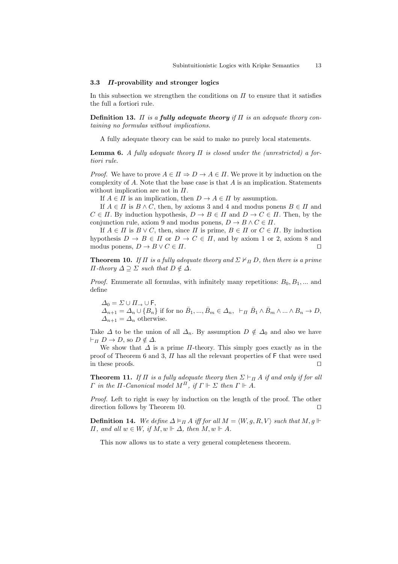#### **3.3** *Π***-provability and stronger logics**

In this subsection we strengthen the conditions on *Π* to ensure that it satisfies the full a fortiori rule.

**Definition 13.**  $\Pi$  *is a fully adequate theory if*  $\Pi$  *is an adequate theory containing no formulas without implications.*

A fully adequate theory can be said to make no purely local statements.

**Lemma 6.** *A fully adequate theory Π is closed under the (unrestricted) a fortiori rule.*

*Proof.* We have to prove  $A \in \Pi \Rightarrow D \to A \in \Pi$ . We prove it by induction on the complexity of *A*. Note that the base case is that *A* is an implication. Statements without implication are not in *Π*.

If  $A \in \Pi$  is an implication, then  $D \to A \in \Pi$  by assumption.

If  $A \in \Pi$  is  $B \wedge C$ , then, by axioms 3 and 4 and modus ponens  $B \in \Pi$  and  $C \in \Pi$ . By induction hypothesis,  $D \to B \in \Pi$  and  $D \to C \in \Pi$ . Then, by the conjunction rule, axiom 9 and modus ponens,  $D \to B \land C \in \Pi$ .

If  $A \in \Pi$  is  $B \vee C$ , then, since  $\Pi$  is prime,  $B \in \Pi$  or  $C \in \Pi$ . By induction hypothesis  $D \to B \in \Pi$  or  $D \to C \in \Pi$ , and by axiom 1 or 2, axiom 8 and modus ponens,  $D \to B \lor C \in \Pi$ .

**Theorem 10.** *If*  $\Pi$  *is a fully adequate theory and*  $\Sigma \nvdash_{\Pi} D$ *, then there is a prime Π-theory*  $Δ ⊇ Σ$  *such that*  $D \notin Δ$ *.* 

*Proof.* Enumerate all formulas, with infinitely many repetitions:  $B_0, B_1, \ldots$  and define

 $\Delta_0 = \Sigma \cup \Pi \rightarrow \cup F$ ,  $\Delta_{n+1} = \Delta_n \cup \{B_n\}$  if for no  $\overline{B}_1, ..., \overline{B}_m \in \Delta_n$ ,  $\vdash_{\Pi} \overline{B}_1 \wedge \overline{B}_m \wedge ... \wedge B_n \to D$ ,  $\Delta_{n+1} = \Delta_n$  otherwise.

Take  $\Delta$  to be the union of all  $\Delta_n$ . By assumption  $D \notin \Delta_0$  and also we have  $\vdash$ <sup>*Π*</sup>  $D \to D$ , so  $D \notin \Delta$ .

We show that  $\Delta$  is a prime  $\Pi$ -theory. This simply goes exactly as in the proof of Theorem 6 and 3,  $\Pi$  has all the relevant properties of F that were used in these proofs.

**Theorem 11.** *If*  $\Pi$  *is a fully adequate theory then*  $\Sigma \vdash_{\Pi} A$  *if and only if for all Γ in the*  $\Pi$ *-Canonical model*  $M^{\Pi}$ *, if*  $\Gamma \Vdash Σ$  *then*  $\Gamma \Vdash A$ *.* 

*Proof.* Left to right is easy by induction on the length of the proof. The other direction follows by Theorem 10.  $\Box$ 

**Definition 14.** We define  $\Delta \models_{\Pi} A$  iff for all  $M = \langle W, g, R, V \rangle$  such that  $M, g \Vdash$ *Π, and all*  $w ∈ W$ *, if*  $M$ *,*  $w ⊢ ∆$ *, then*  $M$ *,*  $w ⊢ A$ *.* 

This now allows us to state a very general completeness theorem.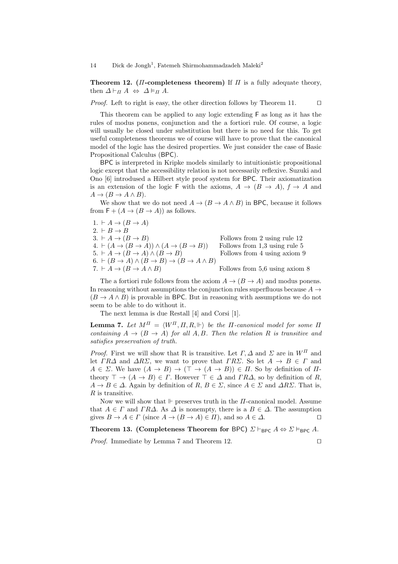**Theorem 12.** ( $\Pi$ **-completeness theorem)** If  $\Pi$  is a fully adequate theory, then  $\Delta \vdash_{\Pi} A \Leftrightarrow \Delta \vDash_{\Pi} A$ .

*Proof.* Left to right is easy, the other direction follows by Theorem 11. □

This theorem can be applied to any logic extending F as long as it has the rules of modus ponens, conjunction and the a fortiori rule. Of course, a logic will usually be closed under substitution but there is no need for this. To get useful completeness theorems we of course will have to prove that the canonical model of the logic has the desired properties. We just consider the case of Basic Propositional Calculus (BPC).

BPC is interpreted in Kripke models similarly to intuitionistic propositional logic except that the accessibility relation is not necessarily reflexive. Suzuki and Ono [6] introdused a Hilbert style proof system for BPC. Their axiomatization is an extension of the logic F with the axioms,  $A \rightarrow (B \rightarrow A)$ ,  $f \rightarrow A$  and  $A \rightarrow (B \rightarrow A \wedge B).$ 

We show that we do not need  $A \rightarrow (B \rightarrow A \wedge B)$  in BPC, because it follows from  $F + (A \rightarrow (B \rightarrow A))$  as follows.

 $1. \, \vdash A \rightarrow (B \rightarrow A)$ 2.  $\vdash B \rightarrow B$ 3.  $\vdash A \rightarrow (B \rightarrow B)$  Follows from 2 using rule 12  $4. \; \vdash (A \rightarrow (B \rightarrow A)) \land (A \rightarrow (B \rightarrow B))$  Follows from 1,3 using rule 5 5.  $\vdash A \rightarrow (B \rightarrow A) \land (B \rightarrow B)$  Follows from 4 using axiom 9  $(6. \rdash (B \rightarrow A) \land (B \rightarrow B) \rightarrow (B \rightarrow A \land B)$ 7.  $\vdash A \rightarrow (B \rightarrow A \land B)$  Follows from 5.6 using axiom 8

The a fortiori rule follows from the axiom  $A \rightarrow (B \rightarrow A)$  and modus ponens. In reasoning without assumptions the conjunction rules superfluous because  $A \rightarrow$  $(B \to A \wedge B)$  is provable in BPC. But in reasoning with assumptions we do not seem to be able to do without it.

The next lemma is due Restall [4] and Corsi [1].

**Lemma 7.** *Let*  $M^{\Pi} = \langle W^{\Pi}, \Pi, R, \Vdash \rangle$  *be the*  $\Pi$ *-canonical model for some*  $\Pi$ *containing*  $A \rightarrow (B \rightarrow A)$  *for all*  $A, B$ *. Then the relation*  $R$  *is transitive and satisfies preservation of truth.*

*Proof.* First we will show that R is transitive. Let *Γ, ∆* and *Σ* are in *W<sup>Π</sup>* and let  $\Gamma R\Delta$  and  $\Delta R\Sigma$ , we want to prove that  $\Gamma R\Sigma$ . So let  $A \rightarrow B \in \Gamma$  and  $A \in \Sigma$ . We have  $(A \to B) \to (\top \to (A \to B)) \in \Pi$ . So by definition of  $\Pi$ theory  $\top \rightarrow (A \rightarrow B) \in \Gamma$ . However  $\top \in \Delta$  and  $\Gamma R\Delta$ , so by definition of *R*,  $A \rightarrow B \in \Delta$ . Again by definition of *R*,  $B \in \Sigma$ , since  $A \in \Sigma$  and  $\Delta R\Sigma$ . That is, *R* is transitive.

Now we will show that  $\Vdash$  preserves truth in the *Π*-canonical model. Assume that  $A \in \Gamma$  and  $\Gamma R\Delta$ . As  $\Delta$  is nonempty, there is a  $B \in \Delta$ . The assumption gives  $B \to A \in \Gamma$  (since  $A \to (B \to A) \in \Pi$ ), and so  $A \in \Delta$ .

**Theorem 13. (Completeness Theorem for BPC)**  $\Sigma \vdash_{\text{BPC}} A \Leftrightarrow \Sigma \models_{\text{BPC}} A$ .

*Proof.* Immediate by Lemma 7 and Theorem 12. □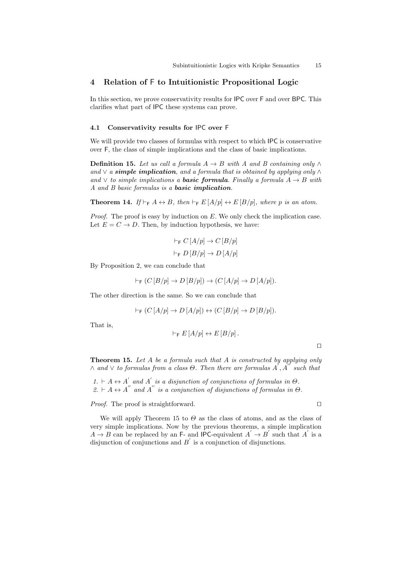# **4 Relation of** F **to Intuitionistic Propositional Logic**

In this section, we prove conservativity results for IPC over F and over BPC. This clarifies what part of IPC these systems can prove.

### **4.1 Conservativity results for** IPC **over** F

We will provide two classes of formulas with respect to which IPC is conservative over F, the class of simple implications and the class of basic implications.

**Definition 15.** *Let us call a formula*  $A \rightarrow B$  *with*  $A$  *and*  $B$  *containing only*  $\land$ and  $\vee$  *a simple implication*, and a formula that is obtained by applying only  $\wedge$ and  $∨$  *to simple implications a basic formula. Finally a formula*  $A → B$  *with A and B basic formulas is a basic implication.*

**Theorem 14.** *If*  $\models$ <sub>F</sub>  $A \leftrightarrow B$ *, then*  $\models$ <sub>F</sub>  $E[A/p] \leftrightarrow E[B/p]$ *, where p is an atom.* 

*Proof.* The proof is easy by induction on *E*. We only check the implication case. Let  $E = C \rightarrow D$ . Then, by induction hypothesis, we have:

$$
\vdash_{\mathsf{F}} C\left[A/p\right] \to C\left[B/p\right]
$$

$$
\vdash_{\mathsf{F}} D\left[B/p\right] \to D\left[A/p\right]
$$

By Proposition 2, we can conclude that

$$
\vdash_{\mathsf{F}} (C [B/p] \to D [B/p]) \to (C [A/p] \to D [A/p]).
$$

The other direction is the same. So we can conclude that

$$
\vdash_{\mathsf{F}} (C\left[A/p\right] \to D\left[A/p\right]) \leftrightarrow (C\left[B/p\right] \to D\left[B/p\right]).
$$

That is,

$$
\vdash_{\mathsf{F}} E\left[A/p\right] \leftrightarrow E\left[B/p\right].
$$

**Theorem 15.** *Let A be a formula such that A is constructed by applying only ∧* and  $∨$  *to formulas from a class Θ*. Then there are formulas  $A'$ ,  $A''$  such that

 $1. \vdash A \leftrightarrow A'$  and  $A'$  is a disjunction of conjunctions of formulas in  $\Theta$ .  $2. \ \forall A \leftrightarrow A$ <sup>"</sup> and  $A$ <sup>"</sup> is a conjunction of disjunctions of formulas in  $\Theta$ .

*Proof.* The proof is straightforward. □

We will apply Theorem 15 to  $\Theta$  as the class of atoms, and as the class of very simple implications. Now by the previous theorems, a simple implication  $A \rightarrow B$  can be replaced by an F- and IPC-equivalent  $A' \rightarrow B'$  such that  $A'$  is a disjunction of conjunctions and  $B'$  is a conjunction of disjunctions.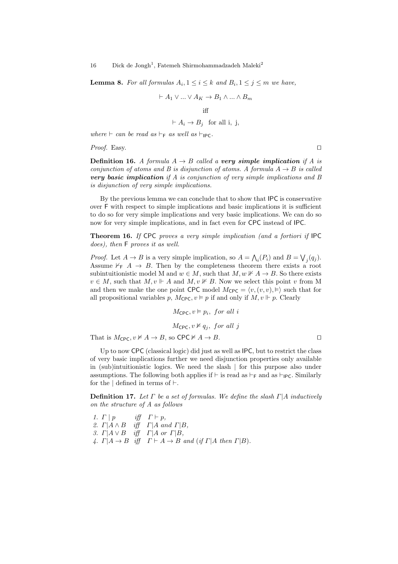**Lemma 8.** For all formulas  $A_i, 1 \leq i \leq k$  and  $B_i, 1 \leq j \leq m$  we have,

$$
\vdash A_1 \lor \dots \lor A_K \to B_1 \land \dots \land B_m
$$
 iff  

$$
\vdash A_i \to B_j \text{ for all } i, j,
$$

*where*  $\vdash$  *can be read as*  $\vdash$  *F as well as*  $\vdash$  *IPC.* 

*Proof.* Easy. □

**Definition 16.** *A formula*  $A \rightarrow B$  *called a very simple implication if A is conjunction of atoms and B is disjunction of atoms. A formula*  $A \rightarrow B$  *is called very basic implication if A is conjunction of very simple implications and B is disjunction of very simple implications.*

By the previous lemma we can conclude that to show that IPC is conservative over F with respect to simple implications and basic implications it is sufficient to do so for very simple implications and very basic implications. We can do so now for very simple implications, and in fact even for CPC instead of IPC.

**Theorem 16.** *If* CPC *proves a very simple implication (and a fortiori if* IPC *does), then* F *proves it as well.*

*Proof.* Let  $A \to B$  is a very simple implication, so  $A = \bigwedge_i (P_i)$  and  $B = \bigvee_j (q_j)$ . Assume  $\nvdash_{\mathsf{F}} A \rightarrow B$ . Then by the completeness theorem there exists a root subintuitionistic model M and  $w \in M$ , such that  $M, w \nVdash A \to B$ . So there exists  $v \in M$ , such that  $M, v \Vdash A$  and  $M, v \nvDash B$ . Now we select this point *v* from M and then we make the one point CPC model  $M_{\text{CPC}} = \langle v, (v, v), \vDash \rangle$  such that for all propositional variables p,  $M_{\text{CPC}}$ ,  $v \models p$  if and only if  $M$ ,  $v \Vdash p$ . Clearly

 $M_{\text{CPC}}, v \vDash p_i, \text{ for all } i$ 

 $M_{\text{CPC}}$ ,  $v \nvDash q_i$ , for all j

That is  $M_{\text{CPC}}$ ,  $v \not\models A \rightarrow B$ , so  $\text{CPC} \not\models A \rightarrow B$ .

Up to now CPC (classical logic) did just as well as IPC, but to restrict the class of very basic implications further we need disjunction properties only available in (sub)intuitionistic logics. We need the slash *|* for this purpose also under assumptions. The following both applies if  $\vdash$  is read as  $\vdash_{\mathsf{F}}$  and as  $\vdash_{\mathsf{IPC}}$ . Similarly for the  $\vert$  defined in terms of  $\vert \cdot$ .

**Definition 17.** *Let Γ be a set of formulas. We define the slash Γ|A inductively on the structure of A as follows*

*1. Γ* | *p iff*  $Γ ⊢ p$ *, 2. Γ|A ∧ B iff Γ|A and Γ|B, 3. Γ|A ∨ B iff Γ|A or Γ|B,*  $\mathcal{A} \colon \Gamma | A \to B$  *iff*  $\Gamma \vdash A \to B$  *and* (*if*  $\Gamma | A$  *then*  $\Gamma | B$ ).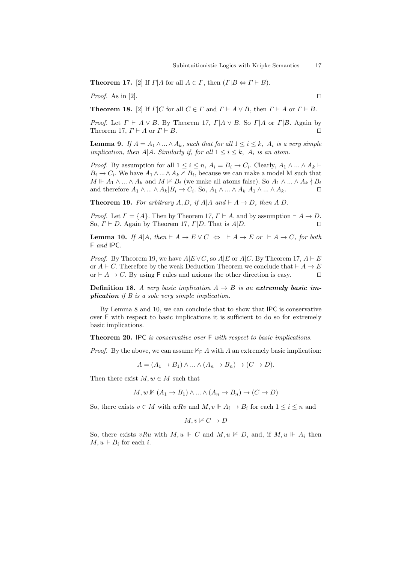**Theorem 17.** [2] If  $\Gamma | A$  for all  $A \in \Gamma$ , then  $(\Gamma | B \Leftrightarrow \Gamma \vdash B)$ .

*Proof.* As in [2].  $\Box$ 

**Theorem 18.** [2] If  $\Gamma | C$  for all  $C \in \Gamma$  and  $\Gamma \vdash A \lor B$ , then  $\Gamma \vdash A$  or  $\Gamma \vdash B$ .

*Proof.* Let  $\Gamma \vdash A \lor B$ . By Theorem 17,  $\Gamma | A \lor B$ . So  $\Gamma | A$  or  $\Gamma | B$ . Again by Theorem 17,  $\Gamma \vdash A$  or  $\Gamma \vdash B$ .

**Lemma 9.** *If*  $A = A_1 \wedge ... \wedge A_k$ *, such that for all*  $1 \leq i \leq k$ *,*  $A_i$  *is a very simple implication, then*  $A|A$ *. Similarly if, for all*  $1 \leq i \leq k$ *,*  $A_i$  *is an atom.* 

*Proof.* By assumption for all  $1 \leq i \leq n$ ,  $A_i = B_i \rightarrow C_i$ . Clearly,  $A_1 \wedge \dots \wedge A_k \vdash$  $B_i \to C_i$ . We have  $A_1 \wedge \ldots \wedge A_k \nvdash B_i$ , because we can make a model M such that  $M \Vdash A_1 \wedge ... \wedge A_k$  and  $M \nvDash B_i$  (we make all atoms false). So  $A_1 \wedge ... \wedge A_k \nmid B_i$ and therefore  $A_1 \wedge ... \wedge A_k | B_i \to C_i$ . So,  $A_1 \wedge ... \wedge A_k | A_1 \wedge ... \wedge A_k$ .

**Theorem 19.** For arbitrary  $A, D, \text{ if } A | A \text{ and } \vdash A \rightarrow D, \text{ then } A | D$ .

*Proof.* Let  $\Gamma = \{A\}$ . Then by Theorem 17,  $\Gamma \vdash A$ , and by assumption  $\vdash A \to D$ . So,  $\Gamma \vdash D$ . Again by Theorem 17,  $\Gamma | D$ . That is  $A | D$ .

**Lemma 10.** *If*  $A|A$ *, then*  $\vdash A \rightarrow E \lor C \Leftrightarrow \vdash A \rightarrow E$  *or*  $\vdash A \rightarrow C$ *, for both* F *and* IPC*.*

*Proof.* By Theorem 19, we have  $A|E \vee C$ , so  $A|E$  or  $A|C$ . By Theorem 17,  $A \vdash E$ or  $A \vdash C$ . Therefore by the weak Deduction Theorem we conclude that  $\vdash A \rightarrow E$ or  $\vdash A \rightarrow C$ . By using F rules and axioms the other direction is easy.  $\Box$ 

**Definition 18.** *A very basic implication*  $A \rightarrow B$  *is an extremely basic implication if B is a sole very simple implication.*

By Lemma 8 and 10, we can conclude that to show that IPC is conservative over F with respect to basic implications it is sufficient to do so for extremely basic implications.

**Theorem 20.** IPC *is conservative over* F *with respect to basic implications.*

*Proof.* By the above, we can assume  $\nvdash_F A$  with *A* an extremely basic implication:

 $A = (A_1 \rightarrow B_1) \land \dots \land (A_n \rightarrow B_n) \rightarrow (C \rightarrow D).$ 

Then there exist  $M, w \in M$  such that

$$
M, w \nVdash (A_1 \to B_1) \land \dots \land (A_n \to B_n) \to (C \to D)
$$

So, there exists  $v \in M$  with  $wRv$  and  $M, v \Vdash A_i \to B_i$  for each  $1 \leq i \leq n$  and

$$
M, v \nVdash C \to D
$$

So, there exists  $vRu$  with  $M, u \Vdash C$  and  $M, u \nvDash D$ , and, if  $M, u \Vdash A_i$  then  $M, u \Vdash B_i$  for each *i*.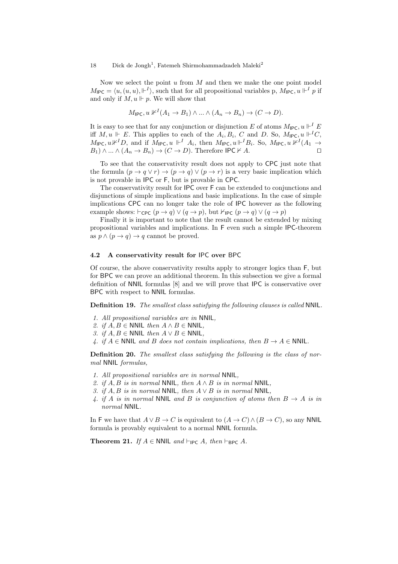Now we select the point *u* from *M* and then we make the one point model  $M_{\text{IPC}} = \langle u, (u, u), \Vdash^{I} \rangle$ , such that for all propositional variables p,  $M_{\text{IPC}}$ ,  $u \Vdash^{I} p$  if and only if  $M, u \Vdash p$ . We will show that

$$
M_{\mathsf{IPC}}, u \nvDash^I (A_1 \to B_1) \land \dots \land (A_n \to B_n) \to (C \to D).
$$

It is easy to see that for any conjunction or disjunction *E* of atoms  $M_{\text{IPC}}$ ,  $u \Vdash^I E$ iff  $M, u \Vdash E$ . This applies to each of the  $A_i, B_i, C$  and D. So,  $M_{\text{IPC}}, u \Vdash^I C$ ,  $M_{\text{IPC}}$ ,  $u \nvDash^{I} D$ , and if  $M_{\text{IPC}}$ ,  $u \Vdash^{I} A_i$ , then  $M_{\text{IPC}}$ ,  $u \Vdash^{I} B_i$ . So,  $M_{\text{IPC}}$ ,  $u \nvDash^{I} (A_1 \rightarrow$  $B_1$ )  $\land \dots \land (A_n \to B_n) \to (C \to D)$ . Therefore IPC  $\nvdash A$ .

To see that the conservativity result does not apply to CPC just note that the formula  $(p \to q \lor r) \to (p \to q) \lor (p \to r)$  is a very basic implication which is not provable in IPC or F, but is provable in CPC.

The conservativity result for IPC over F can be extended to conjunctions and disjunctions of simple implications and basic implications. In the case of simple implications CPC can no longer take the role of IPC however as the following example shows:  $\vdash_{\text{CPC}} (p \rightarrow q) \lor (q \rightarrow p)$ , but  $\vdash_{\text{IPC}} (p \rightarrow q) \lor (q \rightarrow p)$ 

Finally it is important to note that the result cannot be extended by mixing propositional variables and implications. In F even such a simple IPC-theorem as  $p \land (p \rightarrow q) \rightarrow q$  cannot be proved.

### **4.2 A conservativity result for** IPC **over** BPC

Of course, the above conservativity results apply to stronger logics than F, but for BPC we can prove an additional theorem. In this subsection we give a formal definition of NNIL formulas [8] and we will prove that IPC is conservative over BPC with respect to NNIL formulas.

**Definition 19.** *The smallest class satisfying the following clauses is called* NNIL*.*

- *1. All propositional variables are in* NNIL*,*
- *2. if*  $A, B$  ∈ NNIL *then*  $A \land B$  ∈ NNIL,
- *3. if*  $A, B$  ∈ NNIL *then*  $A ∨ B$  ∈ NNIL,
- *A. if*  $A \in \text{NNIL}$  *and B does not contain implications, then*  $B \rightarrow A \in \text{NNIL}$ .

**Definition 20.** *The smallest class satisfying the following is the class of normal* NNIL *formulas,*

- *1. All propositional variables are in normal* NNIL*,*
- *2. if*  $A, B$  *is in normal* NNIL, *then*  $A \wedge B$  *is in normal* NNIL,
- *3. if A, B is in normal* NNIL*, then A ∨ B is in normal* NNIL*,*
- *4. if A is in normal* NNIL *and B is conjunction of atoms then*  $B \rightarrow A$  *is in normal* NNIL*.*

In F we have that  $A \lor B \to C$  is equivalent to  $(A \to C) \land (B \to C)$ , so any NNIL formula is provably equivalent to a normal NNIL formula.

**Theorem 21.** *If*  $A \in \text{NNIL}$  and  $\vdash_{\text{IPC}} A$ , then  $\vdash_{\text{BPC}} A$ .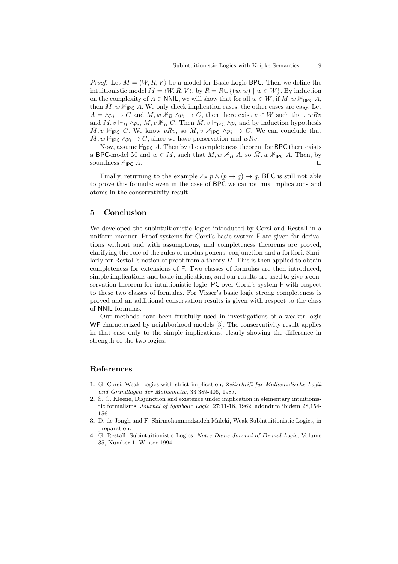*Proof.* Let  $M = \langle W, R, V \rangle$  be a model for Basic Logic BPC. Then we define the intuitionistic model  $\overline{M} = \langle W, \overline{R}, V \rangle$ , by  $\overline{R} = R \cup \{ (w, w) \mid w \in W \}$ . By induction on the complexity of  $A \in \text{NNIL}$ , we will show that for all  $w \in W$ , if  $M, w \nvDash_{\text{BPC}} A$ , then  $\overline{M}$ ,  $w \nvDash_{\mathsf{IPC}} A$ . We only check implication cases, the other cases are easy. Let  $A = \land p_i \rightarrow C$  and  $M, w \nvDash_B \land p_i \rightarrow C$ , then there exist  $v \in W$  such that,  $wRv$ and  $M, v \Vdash_B \wedge p_i$ ,  $M, v \nvDash_B C$ . Then  $\overline{M}, v \Vdash_{\mathsf{IPC}} \wedge p_i$  and by induction hypothesis  $\overline{M}, v \nvDash_{\mathsf{IPC}} C$ . We know  $v\overline{R}v$ , so  $\overline{M}, v \nvDash_{\mathsf{IPC}} \wedge p_i \rightarrow C$ . We can conclude that  $\overline{M}$ , *w*  $\mathbb{1}_{\mathsf{P}\mathsf{C}} \wedge p_i \to C$ , since we have preservation and *wRv*.

Now, assume  $\nvdash_{\mathsf{BPC}} A$ . Then by the completeness theorem for **BPC** there exists a BPC-model M and  $w \in M$ , such that  $M, w \nvDash_B A$ , so  $\overline{M}, w \nvDash_{\mathsf{IPC}} A$ . Then, by soundness  $\forall_{\text{IPC}} A$ .

Finally, returning to the example  $\nvdash_F p \land (p \rightarrow q) \rightarrow q$ , BPC is still not able to prove this formula: even in the case of BPC we cannot mix implications and atoms in the conservativity result.

## **5 Conclusion**

We developed the subintuitionistic logics introduced by Corsi and Restall in a uniform manner. Proof systems for Corsi's basic system F are given for derivations without and with assumptions, and completeness theorems are proved, clarifying the role of the rules of modus ponens, conjunction and a fortiori. Similarly for Restall's notion of proof from a theory *Π*. This is then applied to obtain completeness for extensions of F. Two classes of formulas are then introduced, simple implications and basic implications, and our results are used to give a conservation theorem for intuitionistic logic IPC over Corsi's system F with respect to these two classes of formulas. For Visser's basic logic strong completeness is proved and an additional conservation results is given with respect to the class of NNIL formulas.

Our methods have been fruitfully used in investigations of a weaker logic WF characterized by neighborhood models [3]. The conservativity result applies in that case only to the simple implications, clearly showing the difference in strength of the two logics.

# **References**

- 1. G. Corsi, Weak Logics with strict implication, *Zeitschrift fur Mathematische Logik und Grundlagen der Mathematic*, 33:389-406, 1987.
- 2. S. C. Kleene, Disjunction and existence under implication in elementary intuitionistic formalisms. *Journal of Symbolic Logic*, 27:11-18, 1962. addndum ibidem 28,154- 156.
- 3. D. de Jongh and F. Shirmohammadzadeh Maleki, Weak Subintuitionistic Logics, in preparation.
- 4. G. Restall, Subintuitionistic Logics, *Notre Dame Journal of Formal Logic*, Volume 35, Number 1, Winter 1994.